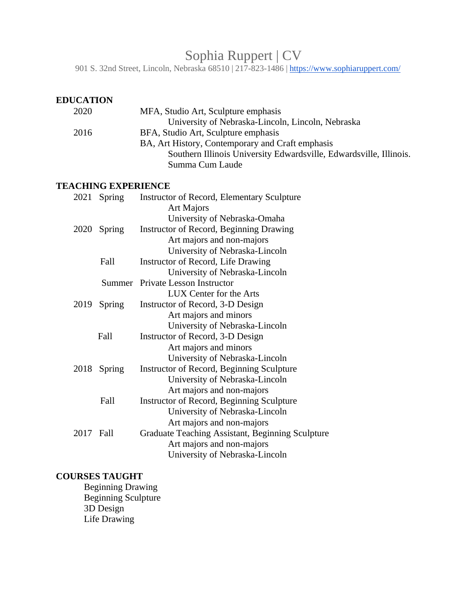# Sophia Ruppert | CV

901 S. 32nd Street, Lincoln, Nebraska 68510 | 217-823-1486 |<https://www.sophiaruppert.com/>

| <b>EDUCATION</b> |
|------------------|
|------------------|

| 2020 | MFA, Studio Art, Sculpture emphasis                                |
|------|--------------------------------------------------------------------|
|      | University of Nebraska-Lincoln, Lincoln, Nebraska                  |
| 2016 | BFA, Studio Art, Sculpture emphasis                                |
|      | BA, Art History, Contemporary and Craft emphasis                   |
|      | Southern Illinois University Edwardsville, Edwardsville, Illinois. |
|      | Summa Cum Laude                                                    |

#### **TEACHING EXPERIENCE**

| 2021 | Spring | Instructor of Record, Elementary Sculpture<br><b>Art Majors</b> |
|------|--------|-----------------------------------------------------------------|
|      |        | University of Nebraska-Omaha                                    |
| 2020 | Spring | Instructor of Record, Beginning Drawing                         |
|      |        | Art majors and non-majors                                       |
|      |        | University of Nebraska-Lincoln                                  |
|      | Fall   | Instructor of Record, Life Drawing                              |
|      |        | University of Nebraska-Lincoln                                  |
|      | Summer | <b>Private Lesson Instructor</b>                                |
|      |        | LUX Center for the Arts                                         |
| 2019 | Spring | Instructor of Record, 3-D Design                                |
|      |        | Art majors and minors                                           |
|      |        | University of Nebraska-Lincoln                                  |
|      | Fall   | Instructor of Record, 3-D Design                                |
|      |        | Art majors and minors                                           |
|      |        | University of Nebraska-Lincoln                                  |
| 2018 | Spring | Instructor of Record, Beginning Sculpture                       |
|      |        | University of Nebraska-Lincoln                                  |
|      |        | Art majors and non-majors                                       |
|      | Fall   | Instructor of Record, Beginning Sculpture                       |
|      |        | University of Nebraska-Lincoln                                  |
|      |        | Art majors and non-majors                                       |
| 2017 | Fall   | Graduate Teaching Assistant, Beginning Sculpture                |
|      |        | Art majors and non-majors                                       |
|      |        | University of Nebraska-Lincoln                                  |
|      |        |                                                                 |

# **COURSES TAUGHT**

Beginning Drawing Beginning Sculpture 3D Design Life Drawing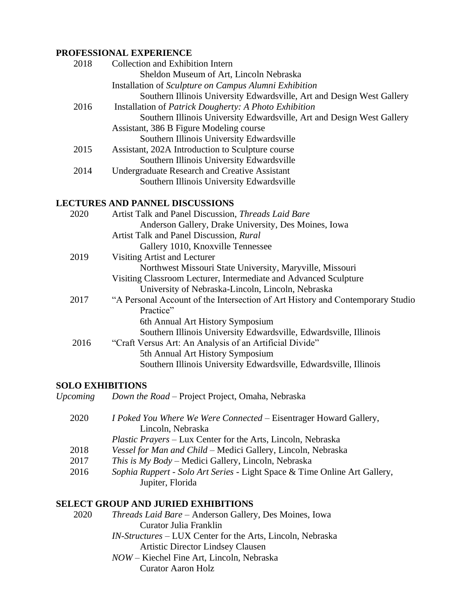#### **PROFESSIONAL EXPERIENCE**

| 2018 | Collection and Exhibition Intern                                       |
|------|------------------------------------------------------------------------|
|      | Sheldon Museum of Art, Lincoln Nebraska                                |
|      | Installation of Sculpture on Campus Alumni Exhibition                  |
|      | Southern Illinois University Edwardsville, Art and Design West Gallery |
| 2016 | Installation of <i>Patrick Dougherty: A Photo Exhibition</i>           |
|      | Southern Illinois University Edwardsville, Art and Design West Gallery |
|      | Assistant, 386 B Figure Modeling course                                |
|      | Southern Illinois University Edwardsville                              |
| 2015 | Assistant, 202A Introduction to Sculpture course                       |
|      | Southern Illinois University Edwardsville                              |
| 2014 | <b>Undergraduate Research and Creative Assistant</b>                   |
|      | Southern Illinois University Edwardsville                              |
|      |                                                                        |
|      | <b>LECTURES AND PANNEL DISCUSSIONS</b>                                 |
| 2020 | Artist Talk and Panel Discussion, Threads Laid Bare                    |
|      | Anderson Gallery, Drake University, Des Moines, Iowa                   |
|      | Artist Talk and Panel Discussion, Rural                                |
|      | Gallery 1010, Knoxville Tennessee                                      |
| 2019 | Visiting Artist and Lecturer                                           |

| Northwest Missouri State University, Maryville, Missouri            |
|---------------------------------------------------------------------|
| Visiting Classroom Lecturer, Intermediate and Advanced Sculpture    |
| University of Nebraska-Lincoln, Lincoln, Nebraska                   |
| "A Personal Account of the Intersection of Art History and Contempo |

#### 2017 "A Personal Account of the Intersection of Art History and Contemporary Studio Practice" 6th Annual Art History Symposium Southern Illinois University Edwardsville, Edwardsville, Illinois

 2016 "Craft Versus Art: An Analysis of an Artificial Divide" 5th Annual Art History Symposium

# Southern Illinois University Edwardsville, Edwardsville, Illinois

# **SOLO EXHIBITIONS**

| 2020 | <i>I Poked You Where We Were Connected – Eisentrager Howard Gallery,</i><br>Lincoln, Nebraska |
|------|-----------------------------------------------------------------------------------------------|
|      | <i>Plastic Prayers</i> – Lux Center for the Arts, Lincoln, Nebraska                           |
| 2018 | Vessel for Man and Child – Medici Gallery, Lincoln, Nebraska                                  |
| 2017 | This is My Body – Medici Gallery, Lincoln, Nebraska                                           |
| 2016 | Sophia Ruppert - Solo Art Series - Light Space & Time Online Art Gallery,                     |
|      | Jupiter, Florida                                                                              |

# **SELECT GROUP AND JURIED EXHIBITIONS**

| 2020 | <i>Threads Laid Bare</i> – Anderson Gallery, Des Moines, Iowa |  |  |  |  |
|------|---------------------------------------------------------------|--|--|--|--|
|      | Curator Julia Franklin                                        |  |  |  |  |
|      |                                                               |  |  |  |  |

- *IN-Structures* LUX Center for the Arts, Lincoln, Nebraska Artistic Director Lindsey Clausen
- *NOW*  Kiechel Fine Art, Lincoln, Nebraska Curator Aaron Holz

*Upcoming Down the Road –* Project Project, Omaha, Nebraska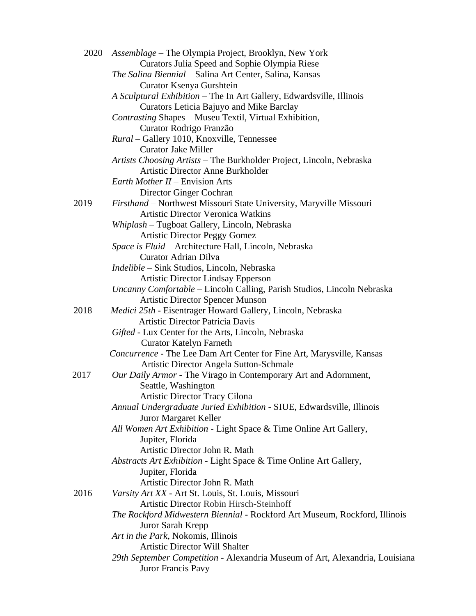| 2020 | Assemblage – The Olympia Project, Brooklyn, New York                         |
|------|------------------------------------------------------------------------------|
|      | Curators Julia Speed and Sophie Olympia Riese                                |
|      | The Salina Biennial - Salina Art Center, Salina, Kansas                      |
|      | Curator Ksenya Gurshtein                                                     |
|      | A Sculptural Exhibition - The In Art Gallery, Edwardsville, Illinois         |
|      | Curators Leticia Bajuyo and Mike Barclay                                     |
|      | Contrasting Shapes - Museu Textil, Virtual Exhibition,                       |
|      | Curator Rodrigo Franzão                                                      |
|      | Rural - Gallery 1010, Knoxville, Tennessee                                   |
|      | <b>Curator Jake Miller</b>                                                   |
|      | Artists Choosing Artists – The Burkholder Project, Lincoln, Nebraska         |
|      | <b>Artistic Director Anne Burkholder</b>                                     |
|      | <i>Earth Mother II – Envision Arts</i>                                       |
|      | Director Ginger Cochran                                                      |
| 2019 | Firsthand - Northwest Missouri State University, Maryville Missouri          |
|      | <b>Artistic Director Veronica Watkins</b>                                    |
|      | Whiplash - Tugboat Gallery, Lincoln, Nebraska                                |
|      | <b>Artistic Director Peggy Gomez</b>                                         |
|      | Space is Fluid - Architecture Hall, Lincoln, Nebraska                        |
|      | Curator Adrian Dilva                                                         |
|      | Indelible - Sink Studios, Lincoln, Nebraska                                  |
|      | <b>Artistic Director Lindsay Epperson</b>                                    |
|      | Uncanny Comfortable - Lincoln Calling, Parish Studios, Lincoln Nebraska      |
|      | <b>Artistic Director Spencer Munson</b>                                      |
| 2018 | Medici 25th - Eisentrager Howard Gallery, Lincoln, Nebraska                  |
|      | Artistic Director Patricia Davis                                             |
|      | Gifted - Lux Center for the Arts, Lincoln, Nebraska                          |
|      | <b>Curator Katelyn Farneth</b>                                               |
|      | Concurrence - The Lee Dam Art Center for Fine Art, Marysville, Kansas        |
|      | Artistic Director Angela Sutton-Schmale                                      |
| 2017 | Our Daily Armor - The Virago in Contemporary Art and Adornment,              |
|      | Seattle, Washington                                                          |
|      | Artistic Director Tracy Cilona                                               |
|      | Annual Undergraduate Juried Exhibition - SIUE, Edwardsville, Illinois        |
|      | Juror Margaret Keller                                                        |
|      | All Women Art Exhibition - Light Space & Time Online Art Gallery,            |
|      | Jupiter, Florida                                                             |
|      | Artistic Director John R. Math                                               |
|      | Abstracts Art Exhibition - Light Space & Time Online Art Gallery,            |
|      | Jupiter, Florida                                                             |
|      | Artistic Director John R. Math                                               |
| 2016 | Varsity Art XX - Art St. Louis, St. Louis, Missouri                          |
|      | Artistic Director Robin Hirsch-Steinhoff                                     |
|      | The Rockford Midwestern Biennial - Rockford Art Museum, Rockford, Illinois   |
|      | Juror Sarah Krepp                                                            |
|      | Art in the Park, Nokomis, Illinois                                           |
|      | <b>Artistic Director Will Shalter</b>                                        |
|      | 29th September Competition - Alexandria Museum of Art, Alexandria, Louisiana |
|      | Juror Francis Pavy                                                           |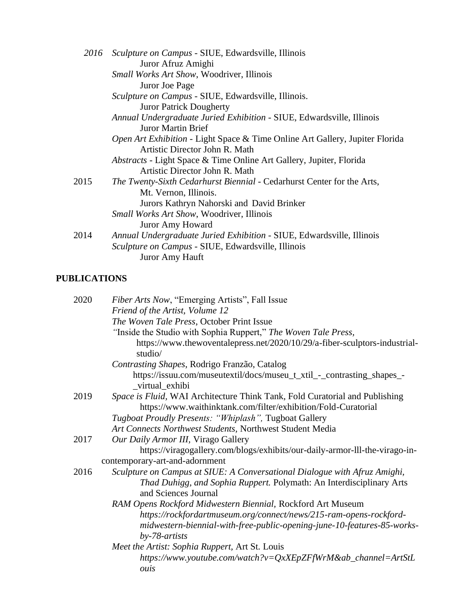| Sculpture on Campus - SIUE, Edwardsville, Illinois                           |
|------------------------------------------------------------------------------|
| Juror Afruz Amighi                                                           |
| Small Works Art Show, Woodriver, Illinois                                    |
| Juror Joe Page                                                               |
| Sculpture on Campus - SIUE, Edwardsville, Illinois.                          |
| <b>Juror Patrick Dougherty</b>                                               |
| Annual Undergraduate Juried Exhibition - SIUE, Edwardsville, Illinois        |
| Juror Martin Brief                                                           |
| Open Art Exhibition - Light Space & Time Online Art Gallery, Jupiter Florida |
| Artistic Director John R. Math                                               |
| <i>Abstracts</i> - Light Space & Time Online Art Gallery, Jupiter, Florida   |
| Artistic Director John R. Math                                               |
| The Twenty-Sixth Cedarhurst Biennial - Cedarhurst Center for the Arts,       |
| Mt. Vernon, Illinois.                                                        |
| Jurors Kathryn Nahorski and David Brinker                                    |
| <i>Small Works Art Show, Woodriver, Illinois</i>                             |
| <b>Juror Amy Howard</b>                                                      |
| Annual Undergraduate Juried Exhibition - SIUE, Edwardsville, Illinois        |
| Sculpture on Campus - SIUE, Edwardsville, Illinois                           |
| Juror Amy Hauft                                                              |
|                                                                              |

# **PUBLICATIONS**

| 2020 | Fiber Arts Now, "Emerging Artists", Fall Issue                                                                                                |
|------|-----------------------------------------------------------------------------------------------------------------------------------------------|
|      | Friend of the Artist, Volume 12                                                                                                               |
|      | The Woven Tale Press, October Print Issue                                                                                                     |
|      | "Inside the Studio with Sophia Ruppert," The Woven Tale Press,                                                                                |
|      | https://www.thewoventalepress.net/2020/10/29/a-fiber-sculptors-industrial-<br>studio/                                                         |
|      | Contrasting Shapes, Rodrigo Franzão, Catalog                                                                                                  |
|      | https://issuu.com/museutextil/docs/museu_t_xtil_-_contrasting_shapes_-<br>_virtual_exhibi                                                     |
| 2019 | Space is Fluid, WAI Architecture Think Tank, Fold Curatorial and Publishing                                                                   |
|      | https://www.waithinktank.com/filter/exhibition/Fold-Curatorial                                                                                |
|      | Tugboat Proudly Presents: "Whiplash", Tugboat Gallery                                                                                         |
|      | Art Connects Northwest Students, Northwest Student Media                                                                                      |
| 2017 | Our Daily Armor III, Virago Gallery                                                                                                           |
|      | https://viragogallery.com/blogs/exhibits/our-daily-armor-lll-the-virago-in-                                                                   |
|      | contemporary-art-and-adornment                                                                                                                |
| 2016 | Sculpture on Campus at SIUE: A Conversational Dialogue with Afruz Amighi,                                                                     |
|      | Thad Duhigg, and Sophia Ruppert. Polymath: An Interdisciplinary Arts<br>and Sciences Journal                                                  |
|      | RAM Opens Rockford Midwestern Biennial, Rockford Art Museum                                                                                   |
|      | https://rockfordartmuseum.org/connect/news/215-ram-opens-rockford-<br>midwestern-biennial-with-free-public-opening-june-10-features-85-works- |
|      | $by - 78 - artists$                                                                                                                           |
|      | Meet the Artist: Sophia Ruppert, Art St. Louis                                                                                                |
|      | https://www.youtube.com/watch?v=QxXEpZFfWrM&ab_channel=ArtStL<br>ouis                                                                         |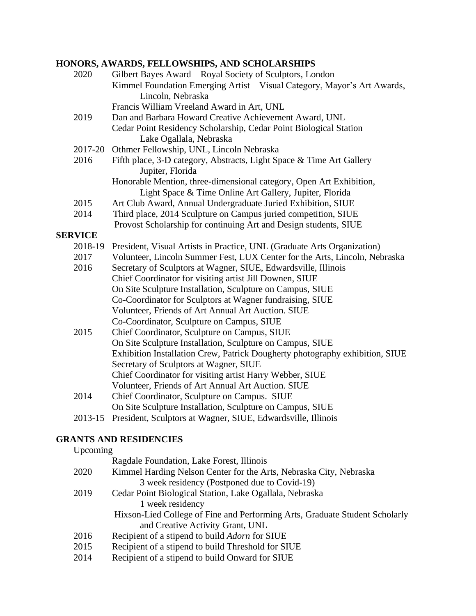#### **HONORS, AWARDS, FELLOWSHIPS, AND SCHOLARSHIPS**

| 2020           | Gilbert Bayes Award - Royal Society of Sculptors, London                                                                       |  |  |
|----------------|--------------------------------------------------------------------------------------------------------------------------------|--|--|
|                | Kimmel Foundation Emerging Artist - Visual Category, Mayor's Art Awards,<br>Lincoln, Nebraska                                  |  |  |
|                | Francis William Vreeland Award in Art, UNL                                                                                     |  |  |
| 2019           | Dan and Barbara Howard Creative Achievement Award, UNL                                                                         |  |  |
|                | Cedar Point Residency Scholarship, Cedar Point Biological Station                                                              |  |  |
|                | Lake Ogallala, Nebraska                                                                                                        |  |  |
|                | 2017-20 Othmer Fellowship, UNL, Lincoln Nebraska                                                                               |  |  |
| 2016           | Fifth place, 3-D category, Abstracts, Light Space & Time Art Gallery<br>Jupiter, Florida                                       |  |  |
|                | Honorable Mention, three-dimensional category, Open Art Exhibition,<br>Light Space & Time Online Art Gallery, Jupiter, Florida |  |  |
| 2015           | Art Club Award, Annual Undergraduate Juried Exhibition, SIUE                                                                   |  |  |
| 2014           | Third place, 2014 Sculpture on Campus juried competition, SIUE                                                                 |  |  |
|                | Provost Scholarship for continuing Art and Design students, SIUE                                                               |  |  |
| <b>SERVICE</b> |                                                                                                                                |  |  |
| 2018-19        | President, Visual Artists in Practice, UNL (Graduate Arts Organization)                                                        |  |  |
| 2017           | Volunteer, Lincoln Summer Fest, LUX Center for the Arts, Lincoln, Nebraska                                                     |  |  |
| 2016           | Secretary of Sculptors at Wagner, SIUE, Edwardsville, Illinois                                                                 |  |  |
|                | Chief Coordinator for visiting artist Jill Downen, SIUE                                                                        |  |  |
|                | On Site Sculpture Installation, Sculpture on Campus, SIUE                                                                      |  |  |
|                | Co-Coordinator for Sculptors at Wagner fundraising, SIUE                                                                       |  |  |
|                | Volunteer, Friends of Art Annual Art Auction. SIUE                                                                             |  |  |
|                | Co-Coordinator, Sculpture on Campus, SIUE                                                                                      |  |  |
| 2015           | Chief Coordinator, Sculpture on Campus, SIUE                                                                                   |  |  |
|                | On Site Sculpture Installation, Sculpture on Campus, SIUE                                                                      |  |  |
|                | Exhibition Installation Crew, Patrick Dougherty photography exhibition, SIUE                                                   |  |  |
|                | Secretary of Sculptors at Wagner, SIUE                                                                                         |  |  |
|                | Chief Coordinator for visiting artist Harry Webber, SIUE                                                                       |  |  |
|                | Volunteer, Friends of Art Annual Art Auction. SIUE                                                                             |  |  |
| 2014           | Chief Coordinator, Sculpture on Campus. SIUE                                                                                   |  |  |
|                | On Site Sculpture Installation, Sculpture on Campus, SIUE                                                                      |  |  |
| 2013-15        | President, Sculptors at Wagner, SIUE, Edwardsville, Illinois                                                                   |  |  |
|                |                                                                                                                                |  |  |

#### **GRANTS AND RESIDENCIES**  $U_{\text{nonima}}$

| <b>UPCOILLINE</b> |                                                                             |
|-------------------|-----------------------------------------------------------------------------|
|                   | Ragdale Foundation, Lake Forest, Illinois                                   |
| 2020              | Kimmel Harding Nelson Center for the Arts, Nebraska City, Nebraska          |
|                   | 3 week residency (Postponed due to Covid-19)                                |
| 2019              | Cedar Point Biological Station, Lake Ogallala, Nebraska                     |
|                   | 1 week residency                                                            |
|                   | Hixson-Lied College of Fine and Performing Arts, Graduate Student Scholarly |
|                   | and Creative Activity Grant, UNL                                            |
| 2016              | Recipient of a stipend to build <i>Adorn</i> for SIUE                       |
| 2015              | Recipient of a stipend to build Threshold for SIUE                          |
|                   |                                                                             |

2014 Recipient of a stipend to build Onward for SIUE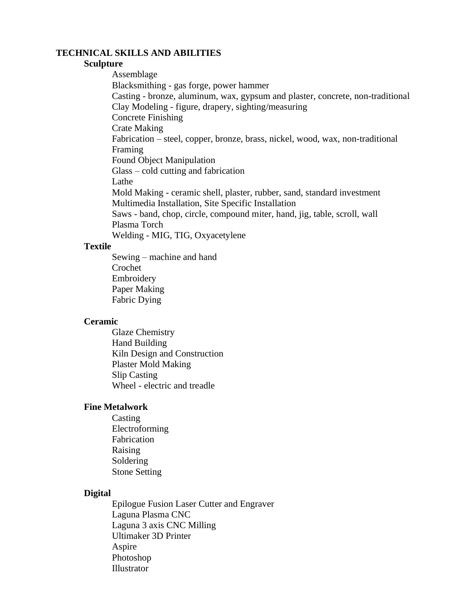#### **TECHNICAL SKILLS AND ABILITIES**

#### **Sculpture**

Assemblage Blacksmithing - gas forge, power hammer Casting - bronze, aluminum, wax, gypsum and plaster, concrete, non-traditional Clay Modeling - figure, drapery, sighting/measuring Concrete Finishing Crate Making Fabrication – steel, copper, bronze, brass, nickel, wood, wax, non-traditional Framing Found Object Manipulation Glass – cold cutting and fabrication Lathe Mold Making - ceramic shell, plaster, rubber, sand, standard investment Multimedia Installation, Site Specific Installation Saws - band, chop, circle, compound miter, hand, jig, table, scroll, wall Plasma Torch

Welding - MIG, TIG, Oxyacetylene

#### **Textile**

Sewing – machine and hand Crochet Embroidery Paper Making Fabric Dying

#### **Ceramic**

Glaze Chemistry Hand Building Kiln Design and Construction Plaster Mold Making Slip Casting Wheel - electric and treadle

#### **Fine Metalwork**

Casting Electroforming Fabrication Raising Soldering Stone Setting

#### **Digital**

Epilogue Fusion Laser Cutter and Engraver Laguna Plasma CNC Laguna 3 axis CNC Milling Ultimaker 3D Printer Aspire Photoshop Illustrator